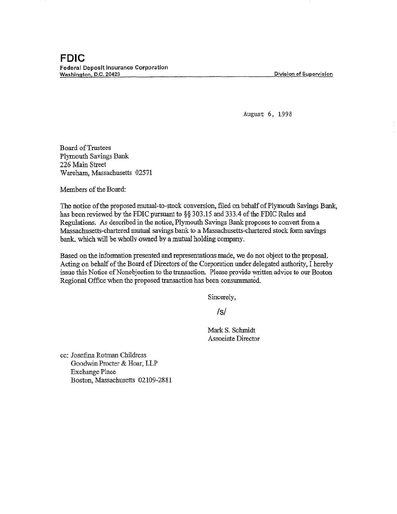Division of Supervision

August 6, 1998

Board of Trustees Plymouth Savings Bank 226 Main Street Wareham, Massachusetts 02571

Members of the Board:

The notice of the proposed mutual-to-stock conversion, filed on behalf of Plymouth Savings Bank, has been reviewed by the FDIC pursuant to§§ 303.15 and 333.4 of the FDIC Rules and Regulations. As described in the notice, Plymouth Savings Bank proposes to convert from a Massachusetts-chartered mutual savings bank to a Massachusetts-chartered stock form savings bank. which will be wholly owned by a mutual holding company.

Based on the information presented and representations made, we do not object to the proposal. Acting on behalf of the Board of Directors of the Corporation under delegated authority, I hereby issue this Notice of Nonobjection to the transaction. Please provide written advice to our Boston Regional Office when the proposed transaction has been consummated.

Sincerely,

/s/

Mark S. Schmidt Associate Director

cc: Josefina Rotman Childress Goodwin Procter & Hoar, LLP Exchange Place Boston, Massachusetts 02109-2881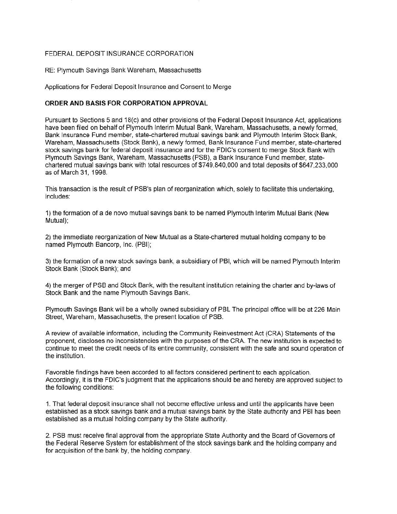## FEDERAL DEPOSIT INSURANCE CORPORATION

RE: Plymouth Savings Bank Wareham, Massachusetts

Applications for Federal Deposit Insurance and Consent to Merge

## **ORDER AND BASIS FOR CORPORATION APPROVAL**

Pursuant to Sections 5 and 18(c) and other provisions of the Federal Deposit Insurance Act, applications have been filed on behalf of Plymouth Interim Mutual Bank, Wareham, Massachusetts, a newly formed, Bank Insurance Fund member, state-chartered mutual savings bank and Plymouth Interim Stock Bank, Wareham, Massachusetts (Stock Bank), a newly formed, Bank Insurance Fund member, state-chartered stock savings bank for federal deposit insurance and for the FDIC's consent to merge Stock Bank with Plymouth Savings Bank, Wareham, Massachusetts (PSB), a Bank Insurance Fund member, statechartered mutual savings bank with total resources of \$749,840,000 and total deposits of \$647,233,000 as of March 31, 1998.

This transaction is the result of PSB's plan of reorganization which, solely to facilitate this undertaking, includes:

1) the formation of a de novo mutual savings bank to be named Plymouth Interim Mutual Bank (New Mutual);

2) the immediate reorganization of New Mutual as a State-chartered mutual holding company to be named Plymouth Bancorp, Inc. (PBI);

3) the formation of a new stock savings bank, a subsidiary of PBI, which will be named Plymouth Interim Stock Bank (Stock Bank); and

4) the merger of PSB and Stock Bank, with the resultant institution retaining the charter and by-laws of Stock Bank and the name Plymouth Savings Bank.

Plymouth Savings Bank will be a wholly owned subsidiary of PBL The principal office will be at 226 Main Street, Wareham, Massachusetts, the present location of PSB.

A review of available information, including the Community Reinvestment Act (CRA) Statements of the proponent, discloses no inconsistencies with the purposes of the CRA. The new institution is expected to continue to meet the credit needs of its entire community, consistent with the safe and sound operation of the institution.

Favorable findings have been accorded to all factors considered pertinent to each application. Accordingly, it is the FDIC's judgment that the applications should be and hereby are approved subject to the following conditions:

1. That federal deposit insurance shall not become effective unless and until the applicants have been established as a stock savings bank and a mutual savings bank by the State authority and PBI has been established as a mutual holding company by the State authority.

2. PSB must receive final approval from the appropriate State Authority and the Board of Governors of the Federal Reserve System for establishment of the stock savings bank and the holding company and for acquisition of the bank by, the holding company.